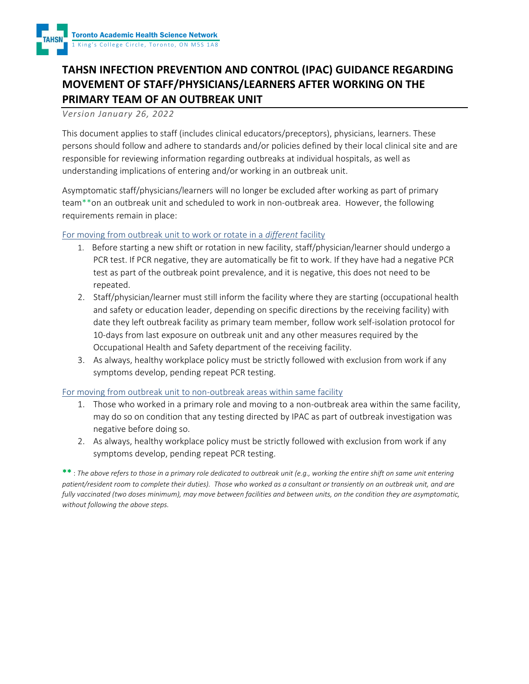

# **TAHSN INFECTION PREVENTION AND CONTROL (IPAC) GUIDANCE REGARDING MOVEMENT OF STAFF/PHYSICIANS/LEARNERS AFTER WORKING ON THE PRIMARY TEAM OF AN OUTBREAK UNIT**

#### *Version January 26, 2022*

This document applies to staff (includes clinical educators/preceptors), physicians, learners. These persons should follow and adhere to standards and/or policies defined by their local clinical site and are responsible for reviewing information regarding outbreaks at individual hospitals, as well as understanding implications of entering and/or working in an outbreak unit.

Asymptomatic staff/physicians/learners will no longer be excluded after working as part of primary team\*\*on an outbreak unit and scheduled to work in non-outbreak area. However, the following requirements remain in place:

### For moving from outbreak unit to work or rotate in a *different* facility

- 1. Before starting a new shift or rotation in new facility, staff/physician/learner should undergo a PCR test. If PCR negative, they are automatically be fit to work. If they have had a negative PCR test as part of the outbreak point prevalence, and it is negative, this does not need to be repeated.
- 2. Staff/physician/learner must still inform the facility where they are starting (occupational health and safety or education leader, depending on specific directions by the receiving facility) with date they left outbreak facility as primary team member, follow work self-isolation protocol for 10-days from last exposure on outbreak unit and any other measures required by the Occupational Health and Safety department of the receiving facility.
- 3. As always, healthy workplace policy must be strictly followed with exclusion from work if any symptoms develop, pending repeat PCR testing.

#### For moving from outbreak unit to non-outbreak areas within same facility

- 1. Those who worked in a primary role and moving to a non-outbreak area within the same facility, may do so on condition that any testing directed by IPAC as part of outbreak investigation was negative before doing so.
- 2. As always, healthy workplace policy must be strictly followed with exclusion from work if any symptoms develop, pending repeat PCR testing.

\*\* : *The above refers to those in a primary role dedicated to outbreak unit (e.g., working the entire shift on same unit entering patient/resident room to complete their duties). Those who worked as a consultant or transiently on an outbreak unit, and are fully vaccinated (two doses minimum), may move between facilities and between units, on the condition they are asymptomatic, without following the above steps.*